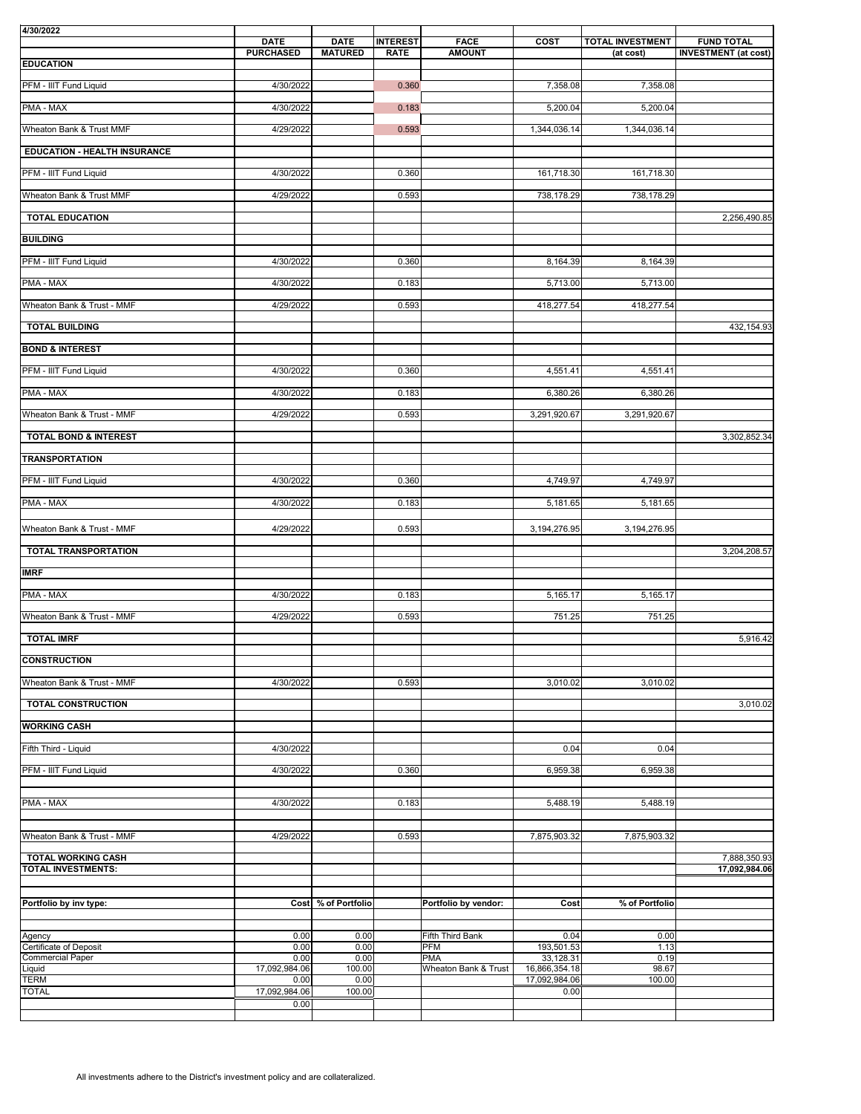All investments adhere to the District's investment policy and are collateralized.

| 4/30/2022                           | <b>DATE</b>           | <b>DATE</b><br><b>INTEREST</b> | <b>FACE</b>                        | <b>COST</b>                | <b>TOTAL INVESTMENT</b> | <b>FUND TOTAL</b>           |
|-------------------------------------|-----------------------|--------------------------------|------------------------------------|----------------------------|-------------------------|-----------------------------|
| <b>EDUCATION</b>                    | <b>PURCHASED</b>      | <b>MATURED</b><br><b>RATE</b>  | <b>AMOUNT</b>                      |                            | (at cost)               | <b>INVESTMENT</b> (at cost) |
| PFM - IIIT Fund Liquid              | 4/30/2022             | 0.360                          |                                    | 7,358.08                   | 7,358.08                |                             |
| <b>PMA - MAX</b>                    | 4/30/2022             | 0.183                          |                                    | 5,200.04                   | 5,200.04                |                             |
| Wheaton Bank & Trust MMF            | 4/29/2022             | 0.593                          |                                    | 1,344,036.14               | 1,344,036.14            |                             |
| <b>EDUCATION - HEALTH INSURANCE</b> |                       |                                |                                    |                            |                         |                             |
| PFM - IIIT Fund Liquid              | 4/30/2022             | 0.360                          |                                    | 161,718.30                 | 161,718.30              |                             |
| Wheaton Bank & Trust MMF            | 4/29/2022             | 0.593                          |                                    | 738,178.29                 | 738,178.29              |                             |
| <b>TOTAL EDUCATION</b>              |                       |                                |                                    |                            |                         | 2,256,490.85                |
| <b>BUILDING</b>                     |                       |                                |                                    |                            |                         |                             |
| PFM - IIIT Fund Liquid              | 4/30/2022             | 0.360                          |                                    | 8,164.39                   | 8,164.39                |                             |
| <b>PMA - MAX</b>                    | 4/30/2022             | 0.183                          |                                    | 5,713.00                   | 5,713.00                |                             |
| Wheaton Bank & Trust - MMF          | 4/29/2022             | 0.593                          |                                    | 418,277.54                 | 418,277.54              |                             |
| <b>TOTAL BUILDING</b>               |                       |                                |                                    |                            |                         | 432, 154.93                 |
| <b>BOND &amp; INTEREST</b>          |                       |                                |                                    |                            |                         |                             |
| PFM - IIIT Fund Liquid              | 4/30/2022             | 0.360                          |                                    | 4,551.41                   | 4,551.41                |                             |
| <b>PMA - MAX</b>                    | 4/30/2022             | 0.183                          |                                    | 6,380.26                   | 6,380.26                |                             |
| Wheaton Bank & Trust - MMF          | 4/29/2022             | 0.593                          |                                    | 3,291,920.67               | 3,291,920.67            |                             |
| <b>TOTAL BOND &amp; INTEREST</b>    |                       |                                |                                    |                            |                         | 3,302,852.34                |
| <b>TRANSPORTATION</b>               |                       |                                |                                    |                            |                         |                             |
| PFM - IIIT Fund Liquid              | 4/30/2022             | 0.360                          |                                    | 4,749.97                   | 4,749.97                |                             |
| <b>PMA - MAX</b>                    | 4/30/2022             | 0.183                          |                                    | 5,181.65                   | 5,181.65                |                             |
| Wheaton Bank & Trust - MMF          | 4/29/2022             | 0.593                          |                                    | 3,194,276.95               | 3,194,276.95            |                             |
| <b>TOTAL TRANSPORTATION</b>         |                       |                                |                                    |                            |                         | 3,204,208.57                |
| <b>IMRF</b>                         |                       |                                |                                    |                            |                         |                             |
| <b>PMA - MAX</b>                    | 4/30/2022             | 0.183                          |                                    | 5,165.17                   | 5,165.17                |                             |
| Wheaton Bank & Trust - MMF          | 4/29/2022             | 0.593                          |                                    | 751.25                     | 751.25                  |                             |
| <b>TOTAL IMRF</b>                   |                       |                                |                                    |                            |                         | 5,916.42                    |
| <b>CONSTRUCTION</b>                 |                       |                                |                                    |                            |                         |                             |
| Wheaton Bank & Trust - MMF          | 4/30/2022             | 0.593                          |                                    | 3,010.02                   | 3,010.02                |                             |
| <b>TOTAL CONSTRUCTION</b>           |                       |                                |                                    |                            |                         | 3,010.02                    |
| <b>WORKING CASH</b>                 |                       |                                |                                    |                            |                         |                             |
| Fifth Third - Liquid                | 4/30/2022             |                                |                                    | 0.04                       | 0.04                    |                             |
| PFM - IIIT Fund Liquid              | 4/30/2022             | 0.360                          |                                    | 6,959.38                   | 6,959.38                |                             |
| PMA - MAX                           | 4/30/2022             | 0.183                          |                                    | 5,488.19                   | 5,488.19                |                             |
| Wheaton Bank & Trust - MMF          | 4/29/2022             | 0.593                          |                                    | 7,875,903.32               | 7,875,903.32            |                             |
| <b>TOTAL WORKING CASH</b>           |                       |                                |                                    |                            |                         | 7,888,350.93                |
| <b>TOTAL INVESTMENTS:</b>           |                       |                                |                                    |                            |                         | 17,092,984.06               |
| Portfolio by inv type:              |                       | Cost % of Portfolio            | Portfolio by vendor:               | Cost                       | % of Portfolio          |                             |
| Agency                              | 0.00                  | 0.00                           | <b>Fifth Third Bank</b>            | 0.04                       | 0.00                    |                             |
| Certificate of Deposit              | 0.00                  | 0.00                           | PFM                                | 193,501.53                 | 1.13                    |                             |
| Commercial Paper<br>Liquid<br>TERM  | 0.00<br>17,092,984.06 | 0.00<br>100.00                 | <b>PMA</b><br>Wheaton Bank & Trust | 33,128.31<br>16,866,354.18 | 0.19<br>98.67           |                             |
| <b>TOTAL</b>                        | 0.00<br>17,092,984.06 | 0.00<br>100.00                 |                                    | 17,092,984.06<br>0.00      | 100.00                  |                             |
|                                     | 0.00                  |                                |                                    |                            |                         |                             |